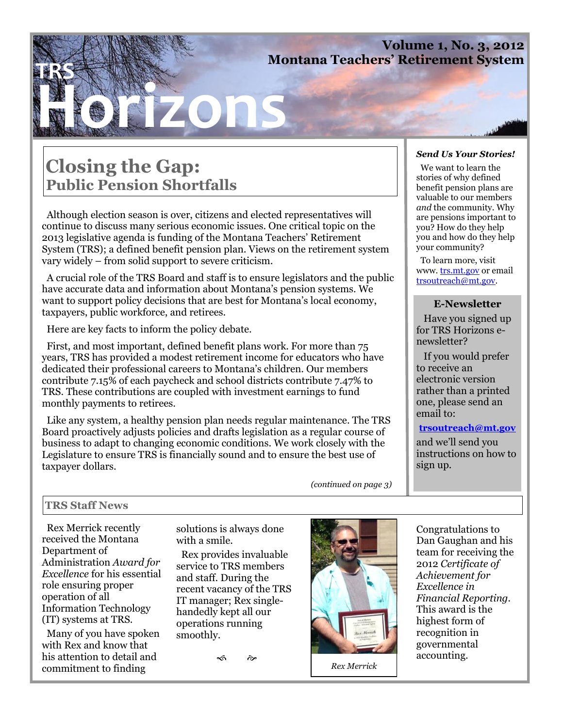### **Volume 1, No. 3, 2012 Montana Teachers' Retirement System**

# **Horizons TRS**

### **Closing the Gap: Public Pension Shortfalls**

 Although election season is over, citizens and elected representatives will continue to discuss many serious economic issues. One critical topic on the 2013 legislative agenda is funding of the Montana Teachers' Retirement System (TRS); a defined benefit pension plan. Views on the retirement system vary widely – from solid support to severe criticism.

 A crucial role of the TRS Board and staff is to ensure legislators and the public have accurate data and information about Montana's pension systems. We want to support policy decisions that are best for Montana's local economy, taxpayers, public workforce, and retirees.

Here are key facts to inform the policy debate.

 First, and most important, defined benefit plans work. For more than 75 years, TRS has provided a modest retirement income for educators who have dedicated their professional careers to Montana's children. Our members contribute 7.15% of each paycheck and school districts contribute 7.47% to TRS. These contributions are coupled with investment earnings to fund monthly payments to retirees.

 Like any system, a healthy pension plan needs regular maintenance. The TRS Board proactively adjusts policies and drafts legislation as a regular course of business to adapt to changing economic conditions. We work closely with the Legislature to ensure TRS is financially sound and to ensure the best use of taxpayer dollars.

*(continued on page 3)*

#### *Send Us Your Stories!*

 We want to learn the stories of why defined benefit pension plans are valuable to our members *and* the community. Why are pensions important to you? How do they help you and how do they help your community?

 To learn more, visit www. trs.mt.gov or email trsoutreach@mt.gov.

### **E-Newsletter**

 Have you signed up for TRS Horizons enewsletter?

 If you would prefer to receive an electronic version rather than a printed one, please send an email to:

#### **trsoutreach@mt.gov**

and we'll send you instructions on how to sign up.

### **TRS Staff News**

 Rex Merrick recently received the Montana Department of Administration *Award for Excellence* for his essential role ensuring proper operation of all Information Technology (IT) systems at TRS.

 Many of you have spoken with Rex and know that his attention to detail and commitment to finding

solutions is always done with a smile.

 Rex provides invaluable service to TRS members and staff. During the recent vacancy of the TRS IT manager; Rex singlehandedly kept all our operations running smoothly.

 $\frac{1}{2}$   $\frac{1}{2}$ 



*Rex Merrick*

Congratulations to Dan Gaughan and his team for receiving the 2012 *Certificate of Achievement for Excellence in Financial Reporting.* This award is the highest form of recognition in governmental accounting.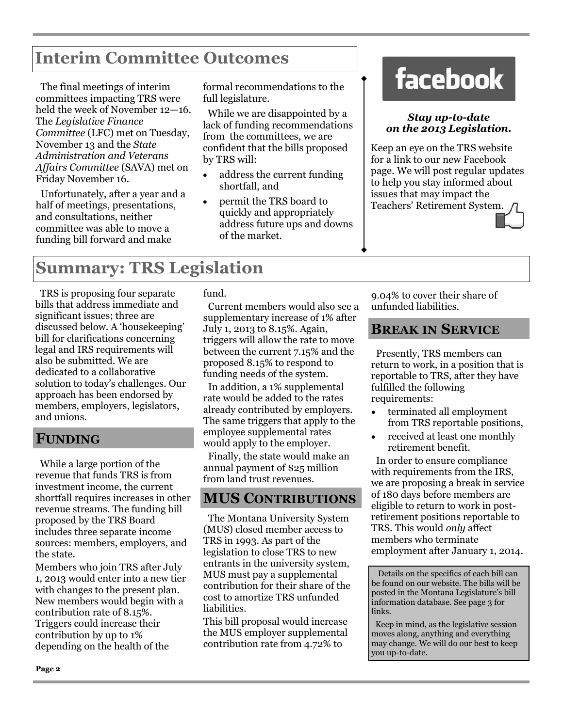### **Interim Committee Outcomes**

 The final meetings of interim committees impacting TRS were held the week of November 12—16. The *Legislative Finance Committee* (LFC) met on Tuesday, November 13 and the *State Administration and Veterans Affairs Committee* (SAVA) met on Friday November 16.

 Unfortunately, after a year and a half of meetings, presentations, and consultations, neither committee was able to move a funding bill forward and make

formal recommendations to the full legislature.

 While we are disappointed by a lack of funding recommendations from the committees, we are confident that the bills proposed by TRS will:

- address the current funding shortfall, and
- permit the TRS board to quickly and appropriately address future ups and downs of the market.

## **facebook**

### *Stay up-to-date on the 2013 Legislation.*

Keep an eye on the TRS website for a link to our new Facebook page. We will post regular updates to help you stay informed about issues that may impact the Teachers' Retirement System.

### **Summary: TRS Legislation**

 TRS is proposing four separate bills that address immediate and significant issues; three are discussed below. A 'housekeeping' bill for clarifications concerning legal and IRS requirements will also be submitted. We are dedicated to a collaborative solution to today's challenges. Our approach has been endorsed by members, employers, legislators, and unions.

### **FUNDING**

 While a large portion of the revenue that funds TRS is from investment income, the current shortfall requires increases in other revenue streams. The funding bill proposed by the TRS Board includes three separate income sources: members, employers, and the state.

Members who join TRS after July 1, 2013 would enter into a new tier with changes to the present plan. New members would begin with a contribution rate of 8.15%. Triggers could increase their contribution by up to 1% depending on the health of the

fund.

 Current members would also see a supplementary increase of 1% after July 1, 2013 to 8.15%. Again, triggers will allow the rate to move between the current 7.15% and the proposed 8.15% to respond to funding needs of the system.

 In addition, a 1% supplemental rate would be added to the rates already contributed by employers. The same triggers that apply to the employee supplemental rates would apply to the employer.

 Finally, the state would make an annual payment of \$25 million from land trust revenues.

### **MUS CONTRIBUTIONS**

 The Montana University System (MUS) closed member access to TRS in 1993. As part of the legislation to close TRS to new entrants in the university system, MUS must pay a supplemental contribution for their share of the cost to amortize TRS unfunded liabilities.

This bill proposal would increase the MUS employer supplemental contribution rate from 4.72% to

9.04% to cover their share of unfunded liabilities.

### **BREAK IN SERVICE**

 Presently, TRS members can return to work, in a position that is reportable to TRS, after they have fulfilled the following requirements:

- terminated all employment from TRS reportable positions,
- received at least one monthly retirement benefit.

 In order to ensure compliance with requirements from the IRS, we are proposing a break in service of 180 days before members are eligible to return to work in postretirement positions reportable to TRS. This would *only* affect members who terminate employment after January 1, 2014.

 Details on the specifics of each bill can be found on our website. The bills will be posted in the Montana Legislature's bill information database. See page 3 for links.

 Keep in mind, as the legislative session moves along, anything and everything may change. We will do our best to keep you up-to-date.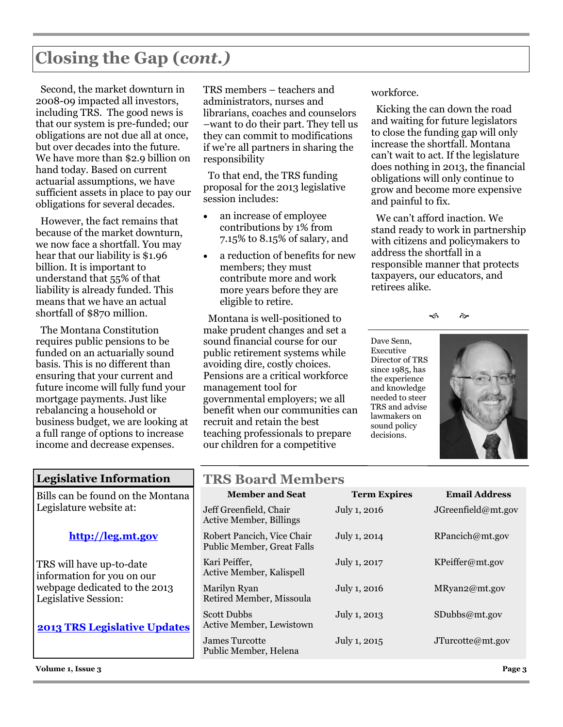## **Closing the Gap (***cont.)*

 Second, the market downturn in 2008-09 impacted all investors, including TRS. The good news is that our system is pre-funded; our obligations are not due all at once, but over decades into the future. We have more than \$2.9 billion on hand today. Based on current actuarial assumptions, we have sufficient assets in place to pay our obligations for several decades.

 However, the fact remains that because of the market downturn, we now face a shortfall. You may hear that our liability is \$1.96 billion. It is important to understand that 55% of that liability is already funded. This means that we have an actual shortfall of \$870 million.

 The Montana Constitution requires public pensions to be funded on an actuarially sound basis. This is no different than ensuring that your current and future income will fully fund your mortgage payments. Just like rebalancing a household or business budget, we are looking at a full range of options to increase income and decrease expenses.

TRS members – teachers and administrators, nurses and librarians, coaches and counselors –want to do their part. They tell us they can commit to modifications if we're all partners in sharing the responsibility

 To that end, the TRS funding proposal for the 2013 legislative session includes:

- an increase of employee contributions by 1% from 7.15% to 8.15% of salary, and
- a reduction of benefits for new members; they must contribute more and work more years before they are eligible to retire.

 Montana is well-positioned to make prudent changes and set a sound financial course for our public retirement systems while avoiding dire, costly choices. Pensions are a critical workforce management tool for governmental employers; we all benefit when our communities can recruit and retain the best teaching professionals to prepare our children for a competitive

workforce.

 Kicking the can down the road and waiting for future legislators to close the funding gap will only increase the shortfall. Montana can't wait to act. If the legislature does nothing in 2013, the financial obligations will only continue to grow and become more expensive and painful to fix.

 We can't afford inaction. We stand ready to work in partnership with citizens and policymakers to address the shortfall in a responsible manner that protects taxpayers, our educators, and retirees alike.

≪ ক

Dave Senn, Executive Director of TRS since 1985, has the experience and knowledge needed to steer TRS and advise lawmakers on sound policy decisions.



### **Legislative Information**

Bills can be found on the Montana Legislature website at:

### **http://leg.mt.gov**

TRS will have up-to-date information for you on our webpage dedicated to the 2013 Legislative Session:

**2013 TRS Legislative Updates**

**Volume 1, Issue 3 Page 3**

### **TRS Board Members**

| $\sim$ ma $\sim$ and $\sim$ and $\sim$                   |                     |                      |
|----------------------------------------------------------|---------------------|----------------------|
| <b>Member and Seat</b>                                   | <b>Term Expires</b> | <b>Email Address</b> |
| Jeff Greenfield, Chair<br><b>Active Member, Billings</b> | July 1, 2016        | JGreenfield@mt.gov   |
| Robert Pancich, Vice Chair<br>Public Member, Great Falls | July 1, 2014        | RPancich@mt.gov      |
| Kari Peiffer,<br>Active Member, Kalispell                | July 1, 2017        | KPeiffer@mt.gov      |
| Marilyn Ryan<br>Retired Member, Missoula                 | July 1, 2016        | MRyan2@mt.gov        |
| <b>Scott Dubbs</b><br>Active Member, Lewistown           | July 1, 2013        | $S$ Dubbs@mt.gov     |
| James Turcotte<br>Public Member, Helena                  | July 1, 2015        | JTurcotte@mt.gov     |
|                                                          |                     |                      |